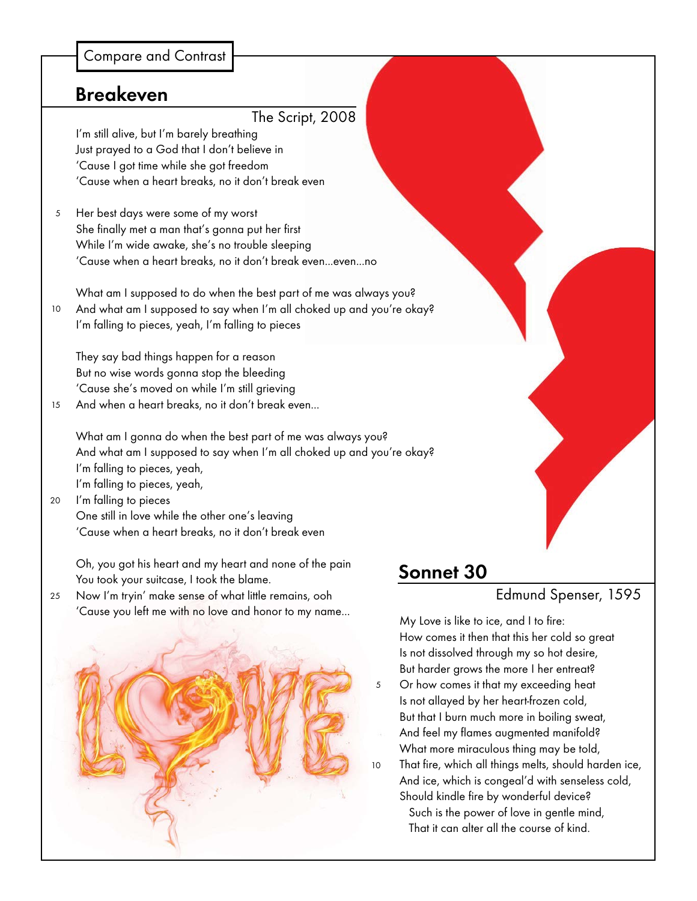Compare and Contrast

### **Breakeven**

The Script, 2008

I'm still alive, but I'm barely breathing Just prayed to a God that I don't believe in 'Cause I got time while she got freedom 'Cause when a heart breaks, no it don't break even

Her best days were some of my worst She finally met a man that's gonna put her first While I'm wide awake, she's no trouble sleeping 'Cause when a heart breaks, no it don't break even...even...no 5

What am I supposed to do when the best part of me was always you? And what am I supposed to say when I'm all choked up and you're okay? I'm falling to pieces, yeah, I'm falling to pieces 10

They say bad things happen for a reason But no wise words gonna stop the bleeding 'Cause she's moved on while I'm still grieving

And when a heart breaks, no it don't break even... 15

What am I gonna do when the best part of me was always you? And what am I supposed to say when I'm all choked up and you're okay? I'm falling to pieces, yeah, I'm falling to pieces, yeah,

I'm falling to pieces One still in love while the other one's leaving 'Cause when a heart breaks, no it don't break even 20

Oh, you got his heart and my heart and none of the pain You took your suitcase, I took the blame.

Now I'm tryin' make sense of what little remains, ooh 'Cause you left me with no love and honor to my name... 25



# **Sonnet 30**

#### Edmund Spenser, 1595

My Love is like to ice, and I to fire: How comes it then that this her cold so great Is not dissolved through my so hot desire, But harder grows the more I her entreat? Or how comes it that my exceeding heat Is not allayed by her heart-frozen cold, But that I burn much more in boiling sweat, And feel my flames augmented manifold? What more miraculous thing may be told, That fire, which all things melts, should harden ice, And ice, which is congeal'd with senseless cold, Should kindle fire by wonderful device? Such is the power of love in gentle mind,

That it can alter all the course of kind.